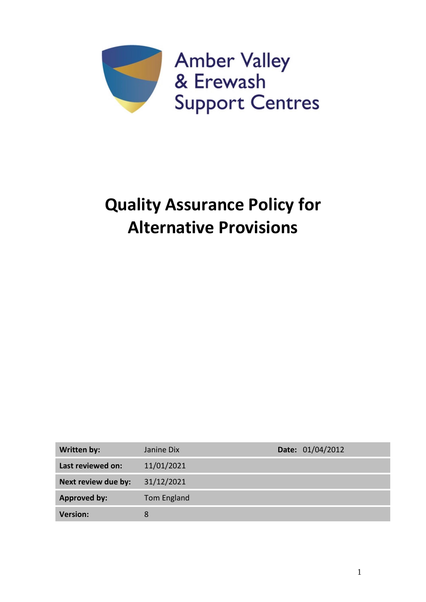

# **Quality Assurance Policy for Alternative Provisions**

| <b>Written by:</b>  | Janine Dix  | Date: 01/04/2012 |
|---------------------|-------------|------------------|
| Last reviewed on:   | 11/01/2021  |                  |
| Next review due by: | 31/12/2021  |                  |
| Approved by:        | Tom England |                  |
| <b>Version:</b>     | 8           |                  |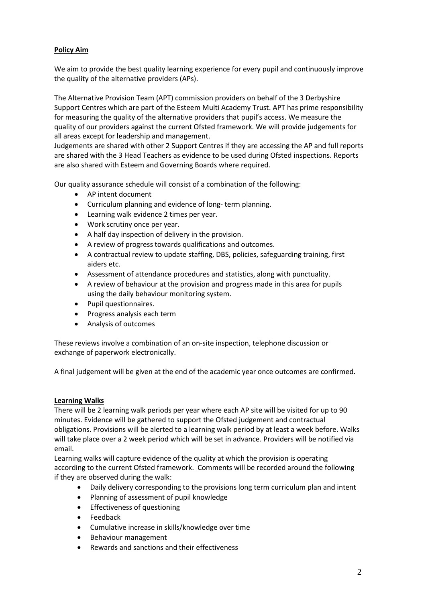## **Policy Aim**

We aim to provide the best quality learning experience for every pupil and continuously improve the quality of the alternative providers (APs).

The Alternative Provision Team (APT) commission providers on behalf of the 3 Derbyshire Support Centres which are part of the Esteem Multi Academy Trust. APT has prime responsibility for measuring the quality of the alternative providers that pupil's access. We measure the quality of our providers against the current Ofsted framework. We will provide judgements for all areas except for leadership and management.

Judgements are shared with other 2 Support Centres if they are accessing the AP and full reports are shared with the 3 Head Teachers as evidence to be used during Ofsted inspections. Reports are also shared with Esteem and Governing Boards where required.

Our quality assurance schedule will consist of a combination of the following:

- AP intent document
- Curriculum planning and evidence of long- term planning.
- Learning walk evidence 2 times per year.
- Work scrutiny once per year.
- A half day inspection of delivery in the provision.
- A review of progress towards qualifications and outcomes.
- A contractual review to update staffing, DBS, policies, safeguarding training, first aiders etc.
- Assessment of attendance procedures and statistics, along with punctuality.
- A review of behaviour at the provision and progress made in this area for pupils using the daily behaviour monitoring system.
- Pupil questionnaires.
- Progress analysis each term
- Analysis of outcomes

These reviews involve a combination of an on-site inspection, telephone discussion or exchange of paperwork electronically.

A final judgement will be given at the end of the academic year once outcomes are confirmed.

#### **Learning Walks**

There will be 2 learning walk periods per year where each AP site will be visited for up to 90 minutes. Evidence will be gathered to support the Ofsted judgement and contractual obligations. Provisions will be alerted to a learning walk period by at least a week before. Walks will take place over a 2 week period which will be set in advance. Providers will be notified via email.

Learning walks will capture evidence of the quality at which the provision is operating according to the current Ofsted framework. Comments will be recorded around the following if they are observed during the walk:

- Daily delivery corresponding to the provisions long term curriculum plan and intent
- Planning of assessment of pupil knowledge
- Effectiveness of questioning
- **Feedback**
- Cumulative increase in skills/knowledge over time
- Behaviour management
- Rewards and sanctions and their effectiveness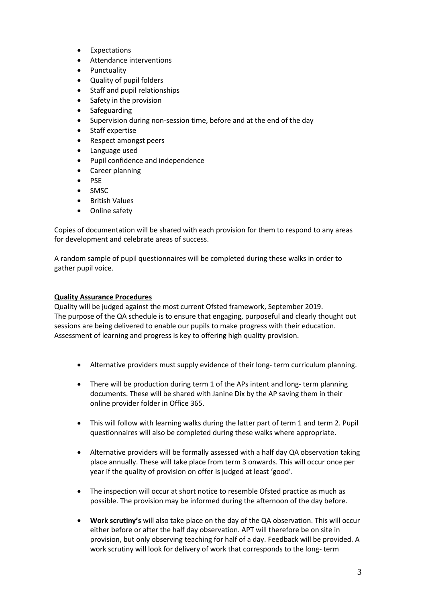- **Expectations**
- Attendance interventions
- Punctuality
- Quality of pupil folders
- Staff and pupil relationships
- Safety in the provision
- **Safeguarding**
- Supervision during non-session time, before and at the end of the day
- Staff expertise
- Respect amongst peers
- Language used
- Pupil confidence and independence
- Career planning
- **PSE**
- SMSC
- British Values
- Online safety

Copies of documentation will be shared with each provision for them to respond to any areas for development and celebrate areas of success.

A random sample of pupil questionnaires will be completed during these walks in order to gather pupil voice.

### **Quality Assurance Procedures**

Quality will be judged against the most current Ofsted framework, September 2019. The purpose of the QA schedule is to ensure that engaging, purposeful and clearly thought out sessions are being delivered to enable our pupils to make progress with their education. Assessment of learning and progress is key to offering high quality provision.

- Alternative providers must supply evidence of their long- term curriculum planning.
- There will be production during term 1 of the APs intent and long- term planning documents. These will be shared with Janine Dix by the AP saving them in their online provider folder in Office 365.
- This will follow with learning walks during the latter part of term 1 and term 2. Pupil questionnaires will also be completed during these walks where appropriate.
- Alternative providers will be formally assessed with a half day QA observation taking place annually. These will take place from term 3 onwards. This will occur once per year if the quality of provision on offer is judged at least 'good'.
- The inspection will occur at short notice to resemble Ofsted practice as much as possible. The provision may be informed during the afternoon of the day before.
- **Work scrutiny's** will also take place on the day of the QA observation. This will occur either before or after the half day observation. APT will therefore be on site in provision, but only observing teaching for half of a day. Feedback will be provided. A work scrutiny will look for delivery of work that corresponds to the long- term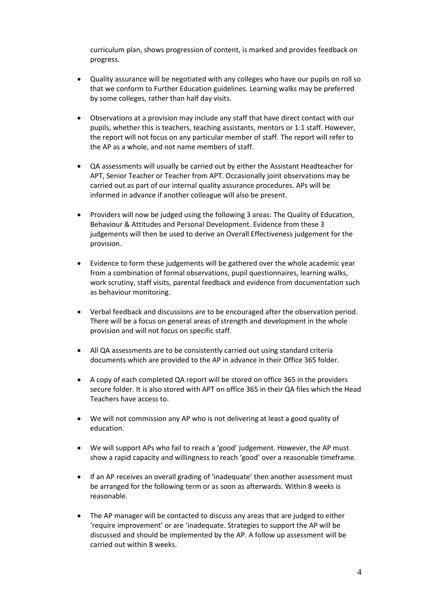curriculum plan, shows progression of content, is marked and provides feedback on progress.

- Quality assurance will be negotiated with any colleges who have our pupils on roll so that we conform to Further Education guidelines. Learning walks may be preferred by some colleges, rather than half day visits.
- Observations at a provision may include any staff that have direct contact with our pupils, whether this is teachers, teaching assistants, mentors or 1:1 staff. However, the report will not focus on any particular member of staff. The report will refer to the AP as a whole, and not name members of staff.
- QA assessments will usually be carried out by either the Assistant Headteacher for APT, Senior Teacher or Teacher from APT. Occasionally joint observations may be carried out as part of our internal quality assurance procedures. APs will be informed in advance if another colleague will also be present.
- Providers will now be judged using the following 3 areas: The Quality of Education, Behaviour & Attitudes and Personal Development. Evidence from these 3 judgements will then be used to derive an Overall Effectiveness judgement for the provision.
- Evidence to form these judgements will be gathered over the whole academic year from a combination of formal observations, pupil questionnaires, learning walks, work scrutiny, staff visits, parental feedback and evidence from documentation such as behaviour monitoring.
- Verbal feedback and discussions are to be encouraged after the observation period. There will be a focus on general areas of strength and development in the whole provision and will not focus on specific staff.
- All QA assessments are to be consistently carried out using standard criteria documents which are provided to the AP in advance in their Office 365 folder.
- A copy of each completed QA report will be stored on office 365 in the providers secure folder. It is also stored with APT on office 365 in their QA files which the Head Teachers have access to.
- We will not commission any AP who is not delivering at least a good quality of education.
- We will support APs who fail to reach a 'good' judgement. However, the AP must show a rapid capacity and willingness to reach 'good' over a reasonable timeframe.
- If an AP receives an overall grading of 'inadequate' then another assessment must be arranged for the following term or as soon as afterwards. Within 8 weeks is reasonable.
- The AP manager will be contacted to discuss any areas that are judged to either 'require improvement' or are 'inadequate. Strategies to support the AP will be discussed and should be implemented by the AP. A follow up assessment will be carried out within 8 weeks.